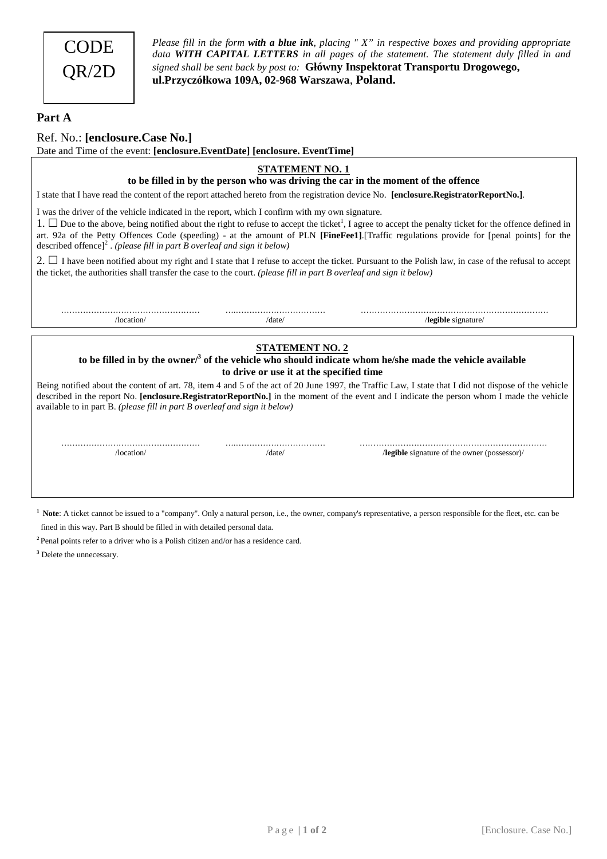

*Please fill in the form with a blue ink, placing " X" in respective boxes and providing appropriate data WITH CAPITAL LETTERS in all pages of the statement. The statement duly filled in and signed shall be sent back by post to:* **Główny Inspektorat Transportu Drogowego, ul.Przyczółkowa 109A, 02-968 Warszawa**, **Poland.** 

## **Part A**

Ref. No.: **[enclosure.Case No.]** 

Date and Time of the event: **[enclosure.EventDate] [enclosure. EventTime]**

## **STATEMENT NO. 1**

**to be filled in by the person who was driving the car in the moment of the offence** 

I state that I have read the content of the report attached hereto from the registration device No. **[enclosure.RegistratorReportNo.]**.

I was the driver of the vehicle indicated in the report, which I confirm with my own signature.

1.  $\Box$  Due to the above, being notified about the right to refuse to accept the ticket<sup>1</sup>, I agree to accept the penalty ticket for the offence defined in art. 92a of the Petty Offences Code (speeding) - at the amount of PLN **[FineFee1]**.[Traffic regulations provide for [penal points] for the described offence]<sup>2</sup> . *(please fill in part B overleaf and sign it below)*

2.  $\Box$  I have been notified about my right and I state that I refuse to accept the ticket. Pursuant to the Polish law, in case of the refusal to accept the ticket, the authorities shall transfer the case to the court. *(please fill in part B overleaf and sign it below)*

…………………………………………… ….…………………………… ……………………………………………………………

/location/ /date/ /**legible** signature/

## **STATEMENT NO. 2**

to be filled in by the owner/<sup>3</sup> of the vehicle who should indicate whom he/she made the vehicle available **to drive or use it at the specified time** 

Being notified about the content of art. 78, item 4 and 5 of the act of 20 June 1997, the Traffic Law, I state that I did not dispose of the vehicle described in the report No. **[enclosure.RegistratorReportNo.]** in the moment of the event and I indicate the person whom I made the vehicle available to in part B. *(please fill in part B overleaf and sign it below)* 

…………………………………………… ….…………………………… …………………………………………………………… /location/ /date/ /**legible** signature of the owner (possessor)/

<sup>1</sup> Note: A ticket cannot be issued to a "company". Only a natural person, i.e., the owner, company's representative, a person responsible for the fleet, etc. can be fined in this way. Part B should be filled in with detailed personal data.

**2** Penal points refer to a driver who is a Polish citizen and/or has a residence card.

**3** Delete the unnecessary.